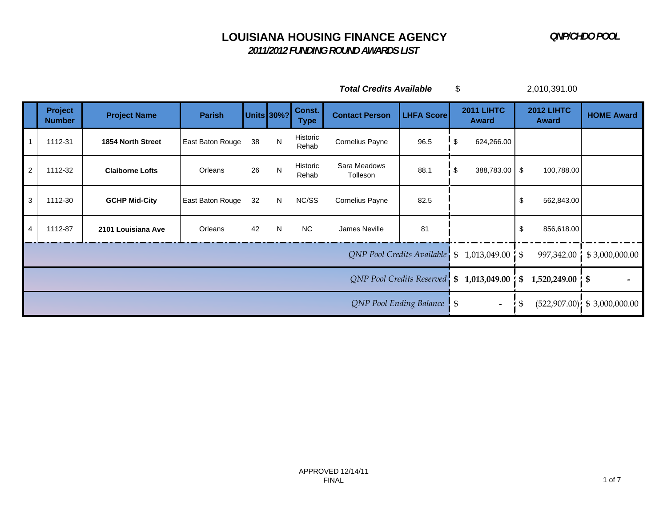*2011/2012 FUNDING ROUND AWARDS LIST*

*Total Credits Available* \$ 2,010,391.00

|                | <b>Project</b><br><b>Number</b> | <b>Project Name</b>    | <b>Parish</b>                               |                                             | Units 30%? | Const.<br><b>Type</b>            | <b>Contact Person</b>    | <b>LHFA Score</b> | <b>2011 LIHTC</b><br><b>Award</b>                                           | <b>2012 LIHTC</b><br><b>Award</b> | <b>HOME Award</b> |
|----------------|---------------------------------|------------------------|---------------------------------------------|---------------------------------------------|------------|----------------------------------|--------------------------|-------------------|-----------------------------------------------------------------------------|-----------------------------------|-------------------|
|                | 1112-31                         | 1854 North Street      | East Baton Rouge                            | 38                                          | N          | Historic<br>Rehab                | Cornelius Payne          | 96.5              | ! \$<br>624,266.00                                                          |                                   |                   |
| $\overline{2}$ | 1112-32                         | <b>Claiborne Lofts</b> | Orleans                                     | 26                                          | N          | Historic<br>Rehab                | Sara Meadows<br>Tolleson | 88.1              | 388,783.00<br>\$                                                            | \$<br>100,788.00                  |                   |
| $\mathbf{3}$   | 1112-30                         | <b>GCHP Mid-City</b>   | East Baton Rouge                            | 32<br>NC/SS<br>N<br>Cornelius Payne<br>82.5 |            |                                  | \$<br>562,843.00         |                   |                                                                             |                                   |                   |
| $\overline{4}$ | 1112-87                         | 2101 Louisiana Ave     | Orleans                                     | 42                                          | N.         | <b>NC</b>                        | James Neville            | 81                |                                                                             | \$<br>856,618.00                  |                   |
|                |                                 |                        |                                             |                                             |            |                                  |                          |                   | $QNP$ Pool Credits Available $\frac{1}{2}$ \$ 1,013,049.00 $\frac{1}{2}$ \$ | 997,342.00                        | \$3,000,000.00    |
|                |                                 |                        | QNP Pool Credits Reserved \$ 1,013,049.00 } | $1,520,249.00 \, \text{°}$ \$<br>\$         |            |                                  |                          |                   |                                                                             |                                   |                   |
|                |                                 |                        | QNP Pool Ending Balance \\$                 | $\overline{\phantom{a}}$                    | \$         | $(522,907.00)$ ; \$ 3,000,000.00 |                          |                   |                                                                             |                                   |                   |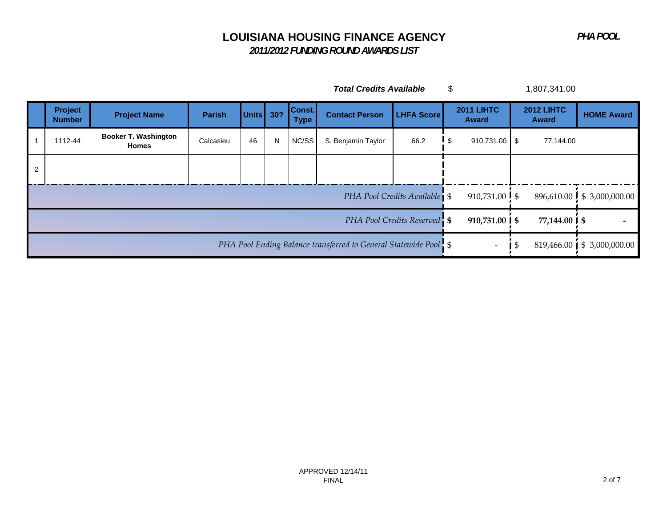*PHA POOL*

# **LOUISIANA HOUSING FINANCE AGENCY**

 *2011/2012 FUNDING ROUND AWARDS LIST*

| Total Credits Available |  | 1,807,341.00 |
|-------------------------|--|--------------|
|-------------------------|--|--------------|

|                | <b>Project</b><br><b>Number</b> | <b>Project Name</b>                         | <b>Parish</b>                                                                                    | Units $30?$              |                              | Const.<br><b>Type</b>      | <b>Contact Person</b> | <b>LHFA Score</b> | <b>2011 LIHTC</b><br><b>Award</b> | <b>2012 LIHTC</b><br><b>Award</b> | <b>HOME Award</b> |
|----------------|---------------------------------|---------------------------------------------|--------------------------------------------------------------------------------------------------|--------------------------|------------------------------|----------------------------|-----------------------|-------------------|-----------------------------------|-----------------------------------|-------------------|
|                | 1112-44                         | <b>Booker T. Washington</b><br><b>Homes</b> | Calcasieu                                                                                        | 46                       | N                            | NC/SS                      | S. Benjamin Taylor    | 66.2              | $910,731.00$ \$                   | 77,144.00                         |                   |
| $\overline{2}$ |                                 |                                             |                                                                                                  |                          |                              |                            |                       |                   |                                   |                                   |                   |
|                |                                 |                                             | PHA Pool Credits Available                                                                       | 910,731.00 $\frac{1}{5}$ |                              | 896,610.00 \$ 3,000,000.00 |                       |                   |                                   |                                   |                   |
|                |                                 |                                             | PHA Pool Credits Reserved S<br>$910,731.00$   \$                                                 | 77,144.00 ∫ \$           |                              |                            |                       |                   |                                   |                                   |                   |
|                |                                 |                                             | PHA Pool Ending Balance transferred to General Statewide Pool \ \ \$<br>$\overline{\phantom{a}}$ | ৾৾ঌ                      | 819,466.00   \$ 3,000,000.00 |                            |                       |                   |                                   |                                   |                   |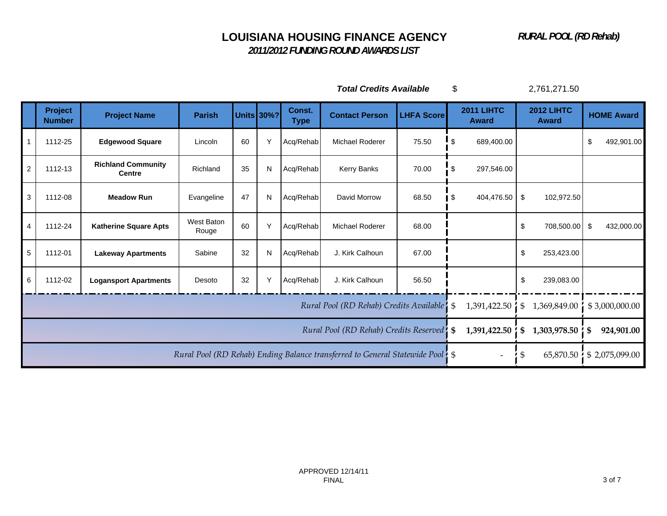*RURAL POOL (RD Rehab)*

 *2011/2012 FUNDING ROUND AWARDS LIST*

*Total Credits Available* \$ 2,761,271.50

|                | <b>Project</b><br><b>Number</b> | <b>Project Name</b>                        | <b>Parish</b>                              |              | <b>Units 30%?</b>  | Const.<br><b>Type</b> | <b>Contact Person</b>                                                          | <b>LHFA Score</b> | 2011 LIHTC<br><b>Award</b> | <b>2012 LIHTC</b><br><b>Award</b> | <b>HOME Award</b> |
|----------------|---------------------------------|--------------------------------------------|--------------------------------------------|--------------|--------------------|-----------------------|--------------------------------------------------------------------------------|-------------------|----------------------------|-----------------------------------|-------------------|
|                | 1112-25                         | <b>Edgewood Square</b>                     | Lincoln                                    | 60           | ٧                  | Acq/Rehab             | Michael Roderer                                                                | 75.50             | \$<br>689,400.00           |                                   | \$<br>492,901.00  |
| $\overline{c}$ | 1112-13                         | <b>Richland Community</b><br><b>Centre</b> | Richland                                   | 35           | N                  | Acq/Rehab             | Kerry Banks                                                                    | 70.00             | \$<br>297,546.00           |                                   |                   |
| 3              | 1112-08                         | <b>Meadow Run</b>                          | Evangeline                                 | 47           | N                  | Acq/Rehab             | David Morrow                                                                   | 68.50             | \$<br>404,476.50 \$        | 102,972.50                        |                   |
|                | 1112-24                         | <b>Katherine Square Apts</b>               | <b>West Baton</b><br>Rouge                 | 60           | Y                  | Acq/Rehab             | <b>Michael Roderer</b>                                                         | 68.00             |                            | \$<br>708,500.00                  | \$<br>432,000.00  |
| 5              | 1112-01                         | <b>Lakeway Apartments</b>                  | Sabine                                     | 32           | N                  | Acq/Rehab             | J. Kirk Calhoun                                                                | 67.00             |                            | \$<br>253,423.00                  |                   |
| 6              | 1112-02                         | <b>Logansport Apartments</b>               | Desoto                                     | 32           | Y                  | Acq/Rehab             | J. Kirk Calhoun                                                                | 56.50             |                            | \$<br>239,083.00                  |                   |
|                |                                 |                                            |                                            |              |                    |                       | Rural Pool (RD Rehab) Credits Available   \$                                   |                   | 1,391,422.50               | \$<br>1,369,849.00                | \$3,000,000.00    |
|                |                                 |                                            | Rural Pool (RD Rehab) Credits Reserved! \$ | 1,391,422.50 | 1,303,978.50<br>\$ | 924,901.00<br>\$      |                                                                                |                   |                            |                                   |                   |
|                |                                 |                                            |                                            |              |                    |                       | Rural Pool (RD Rehab) Ending Balance transferred to General Statewide Pool! \$ |                   | $\overline{\phantom{a}}$   | 65,870.50<br>S                    | \$2,075,099.00    |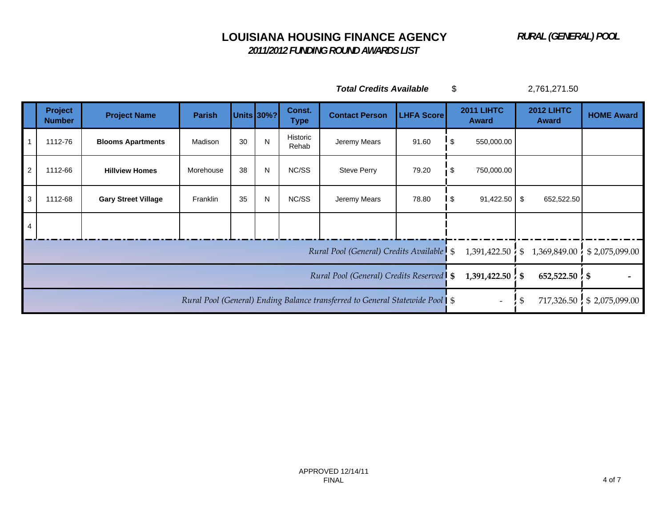*2011/2012 FUNDING ROUND AWARDS LIST*

*Total Credits Available* \$ 2,761,271.50

|                | Project<br><b>Number</b> | <b>Project Name</b>        | <b>Parish</b>                                                               |                                 | <b>Units 30%?</b>             | Const.<br><b>Type</b>      | <b>Contact Person</b>                    | <b>LHFA Score</b> |     | <b>2011 LIHTC</b><br><b>Award</b> | <b>2012 LIHTC</b><br><b>Award</b> | <b>HOME Award</b> |  |
|----------------|--------------------------|----------------------------|-----------------------------------------------------------------------------|---------------------------------|-------------------------------|----------------------------|------------------------------------------|-------------------|-----|-----------------------------------|-----------------------------------|-------------------|--|
| $\overline{1}$ | 1112-76                  | <b>Blooms Apartments</b>   | Madison                                                                     | 30                              | N                             | Historic<br>Rehab          | Jeremy Mears                             | 91.60             | -\$ | 550,000.00                        |                                   |                   |  |
| $\overline{2}$ | 1112-66                  | <b>Hillview Homes</b>      | Morehouse                                                                   | 38                              | N                             | NC/SS                      | <b>Steve Perry</b><br>79.20              |                   | S.  | 750,000.00                        |                                   |                   |  |
| $\mathbf{3}$   | 1112-68                  | <b>Gary Street Village</b> | Franklin                                                                    | 35                              | N                             | NC/SS                      | 78.80<br>Jeremy Mears<br>l \$            |                   |     | $91,422.50$ \$                    | 652,522.50                        |                   |  |
| $\overline{4}$ |                          |                            |                                                                             |                                 |                               |                            |                                          |                   |     |                                   |                                   |                   |  |
|                |                          |                            |                                                                             |                                 |                               |                            | Rural Pool (General) Credits Available S |                   |     | 1,391,422.50                      | 1,369,849.00<br>$\mathfrak s$     | \$2,075,099.00    |  |
|                |                          |                            | Rural Pool (General) Credits Reserved   \$                                  | $1,391,422.50$ $\frac{1}{2}$ \$ | $652,522.50$ $\frac{1}{2}$ \$ |                            |                                          |                   |     |                                   |                                   |                   |  |
|                |                          |                            | Rural Pool (General) Ending Balance transferred to General Statewide Pool S | $\overline{\phantom{a}}$        | \$                            | 717,326.50 \$ 2,075,099.00 |                                          |                   |     |                                   |                                   |                   |  |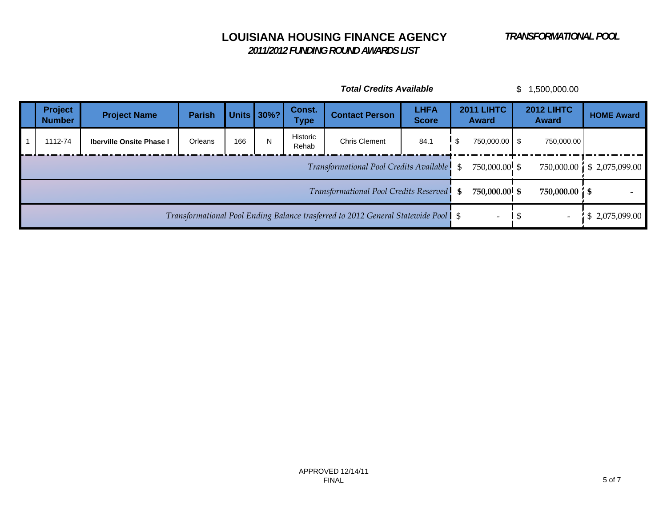*2011/2012 FUNDING ROUND AWARDS LIST*

| <b>Total Credits Available</b><br>1,500,000.00<br>\$ |                                                                                     |                                              |                          |                 |                   |                       |                             |                       |                                   |                                   |                   |
|------------------------------------------------------|-------------------------------------------------------------------------------------|----------------------------------------------|--------------------------|-----------------|-------------------|-----------------------|-----------------------------|-----------------------|-----------------------------------|-----------------------------------|-------------------|
| Project<br><b>Number</b>                             | <b>Project Name</b>                                                                 | <b>Parish</b>                                |                          | Units 30%?      | Const.<br>Type    | <b>Contact Person</b> | <b>LHFA</b><br><b>Score</b> |                       | <b>2011 LIHTC</b><br><b>Award</b> | <b>2012 LIHTC</b><br><b>Award</b> | <b>HOME Award</b> |
| 1112-74                                              | <b>Iberville Onsite Phase I</b>                                                     | Orleans                                      | 166                      | N               | Historic<br>Rehab | <b>Chris Clement</b>  | 84.1                        | I \$<br>750,000.00 \$ |                                   | 750,000.00                        |                   |
|                                                      |                                                                                     | Transformational Pool Credits Available      | $\mathfrak{L}$           | 750,000.00 \$   | 750,000.00        | \$2,075,099.00        |                             |                       |                                   |                                   |                   |
|                                                      |                                                                                     | Transformational Pool Credits Reserved<br>\$ | 750,000.00 \$            | 750,000.00   \$ |                   |                       |                             |                       |                                   |                                   |                   |
|                                                      | Transformational Pool Ending Balance trasferred to 2012 General Statewide Pool   \$ |                                              | $\overline{\phantom{a}}$ | $\overline{1}$  | \$2,075,099.00    |                       |                             |                       |                                   |                                   |                   |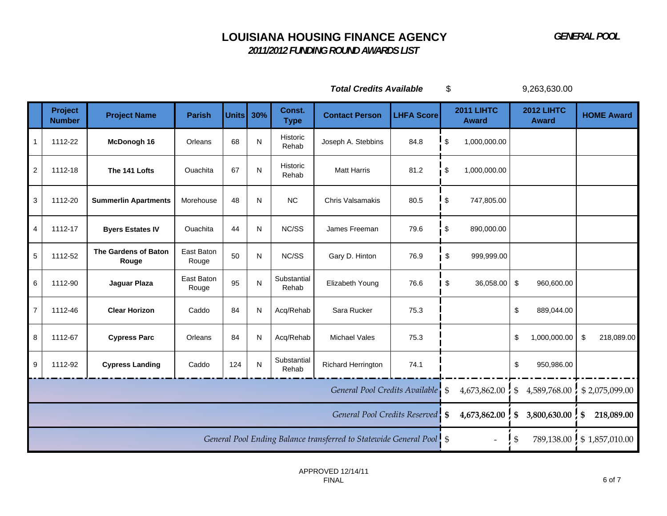*2011/2012 FUNDING ROUND AWARDS LIST*

*Total Credits Available* \$ 9,263,630.00

|                           | Project<br><b>Number</b> | <b>Project Name</b>           | <b>Parish</b>                     | <b>Units</b> | 30%       | Const.<br><b>Type</b> | <b>Contact Person</b>                                                | <b>LHFA Score</b> | <b>2011 LIHTC</b><br><b>Award</b> |    | <b>2012 LIHTC</b><br><b>Award</b> | <b>HOME Award</b> |
|---------------------------|--------------------------|-------------------------------|-----------------------------------|--------------|-----------|-----------------------|----------------------------------------------------------------------|-------------------|-----------------------------------|----|-----------------------------------|-------------------|
| $\mathbf{1}$              | 1112-22                  | McDonogh 16                   | Orleans                           | 68           | N         | Historic<br>Rehab     | Joseph A. Stebbins                                                   | 84.8              | \$<br>1,000,000.00                |    |                                   |                   |
| $\overline{c}$            | 1112-18                  | The 141 Lofts                 | Ouachita                          | 67           | N         | Historic<br>Rehab     | <b>Matt Harris</b>                                                   | 81.2              | \$<br>1,000,000.00                |    |                                   |                   |
| $\ensuremath{\mathsf{3}}$ | 1112-20                  | <b>Summerlin Apartments</b>   | Morehouse                         | 48           | N         | NC                    | Chris Valsamakis                                                     | 80.5              | \$<br>747,805.00                  |    |                                   |                   |
| $\overline{\mathbf{4}}$   | 1112-17                  | <b>Byers Estates IV</b>       | Ouachita                          | 44           | N         | NC/SS                 | James Freeman                                                        | 79.6              | \$<br>890,000.00                  |    |                                   |                   |
| $\sqrt{5}$                | 1112-52                  | The Gardens of Baton<br>Rouge | East Baton<br>Rouge               | 50           | N         | NC/SS                 | Gary D. Hinton                                                       | 76.9              | \$<br>999,999.00                  |    |                                   |                   |
| $\,6$                     | 1112-90                  | Jaguar Plaza                  | East Baton<br>Rouge               | 95           | ${\sf N}$ | Substantial<br>Rehab  | Elizabeth Young                                                      | 76.6              | \$<br>36,058.00                   | \$ | 960,600.00                        |                   |
| $\overline{7}$            | 1112-46                  | <b>Clear Horizon</b>          | Caddo                             | 84           | N         | Acq/Rehab             | Sara Rucker                                                          | 75.3              |                                   | \$ | 889,044.00                        |                   |
| 8                         | 1112-67                  | <b>Cypress Parc</b>           | Orleans                           | 84           | N         | Acq/Rehab             | <b>Michael Vales</b>                                                 | 75.3              |                                   | \$ | 1,000,000.00                      | \$<br>218,089.00  |
| $\boldsymbol{9}$          | 1112-92                  | <b>Cypress Landing</b>        | Caddo                             | 124          | ${\sf N}$ | Substantial<br>Rehab  | Richard Herrington                                                   | 74.1              |                                   | \$ | 950,986.00                        |                   |
|                           |                          |                               | General Pool Credits Available \$ | 4,673,862.00 | \$        | 4,589,768.00          | \$2,075,099.00                                                       |                   |                                   |    |                                   |                   |
|                           |                          |                               |                                   |              |           |                       | General Pool Credits Reserved S                                      |                   | 4,673,862.00                      | \$ | 3,800,630.00                      | 218,089.00<br>\$  |
|                           |                          |                               |                                   |              |           |                       | General Pool Ending Balance transferred to Statewide General Pool \$ |                   | $\overline{\phantom{a}}$          | \$ | 789,138.00                        | \$1,857,010.00    |